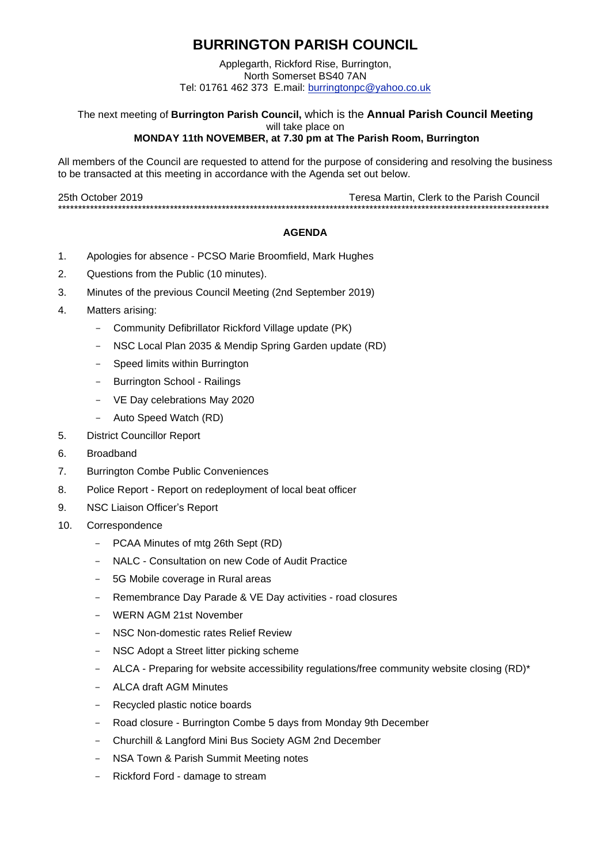### **BURRINGTON PARISH COUNCIL**

Applegarth, Rickford Rise, Burrington, North Somerset BS40 7AN Tel: 01761 462 373 E.mail: [burringtonpc@yahoo.co.uk](mailto:burringtonpc@yahoo.co.uk)

The next meeting of **Burrington Parish Council,** which is the **Annual Parish Council Meeting** will take place on

#### **MONDAY 11th NOVEMBER, at 7.30 pm at The Parish Room, Burrington**

All members of the Council are requested to attend for the purpose of considering and resolving the business to be transacted at this meeting in accordance with the Agenda set out below.

25th October 2019 Teresa Martin, Clerk to the Parish Council \*\*\*\*\*\*\*\*\*\*\*\*\*\*\*\*\*\*\*\*\*\*\*\*\*\*\*\*\*\*\*\*\*\*\*\*\*\*\*\*\*\*\*\*\*\*\*\*\*\*\*\*\*\*\*\*\*\*\*\*\*\*\*\*\*\*\*\*\*\*\*\*\*\*\*\*\*\*\*\*\*\*\*\*\*\*\*\*\*\*\*\*\*\*\*\*\*\*\*\*\*\*\*\*\*\*\*\*\*\*\*\*\*\*\*\*\*\*\*\*\*\*\*

#### **AGENDA**

- 1. Apologies for absence PCSO Marie Broomfield, Mark Hughes
- 2. Questions from the Public (10 minutes).
- 3. Minutes of the previous Council Meeting (2nd September 2019)
- 4. Matters arising:
	- Community Defibrillator Rickford Village update (PK)
	- NSC Local Plan 2035 & Mendip Spring Garden update (RD)
	- Speed limits within Burrington
	- Burrington School Railings
	- VE Day celebrations May 2020
	- Auto Speed Watch (RD)
- 5. District Councillor Report
- 6. Broadband
- 7. Burrington Combe Public Conveniences
- 8. Police Report Report on redeployment of local beat officer
- 9. NSC Liaison Officer's Report
- 10. Correspondence
	- PCAA Minutes of mtg 26th Sept (RD)
	- NALC Consultation on new Code of Audit Practice
	- 5G Mobile coverage in Rural areas
	- Remembrance Day Parade & VE Day activities road closures
	- WERN AGM 21st November
	- NSC Non-domestic rates Relief Review
	- NSC Adopt a Street litter picking scheme
	- ALCA Preparing for website accessibility regulations/free community website closing (RD)\*
	- ALCA draft AGM Minutes
	- Recycled plastic notice boards
	- Road closure Burrington Combe 5 days from Monday 9th December
	- Churchill & Langford Mini Bus Society AGM 2nd December
	- NSA Town & Parish Summit Meeting notes
	- Rickford Ford damage to stream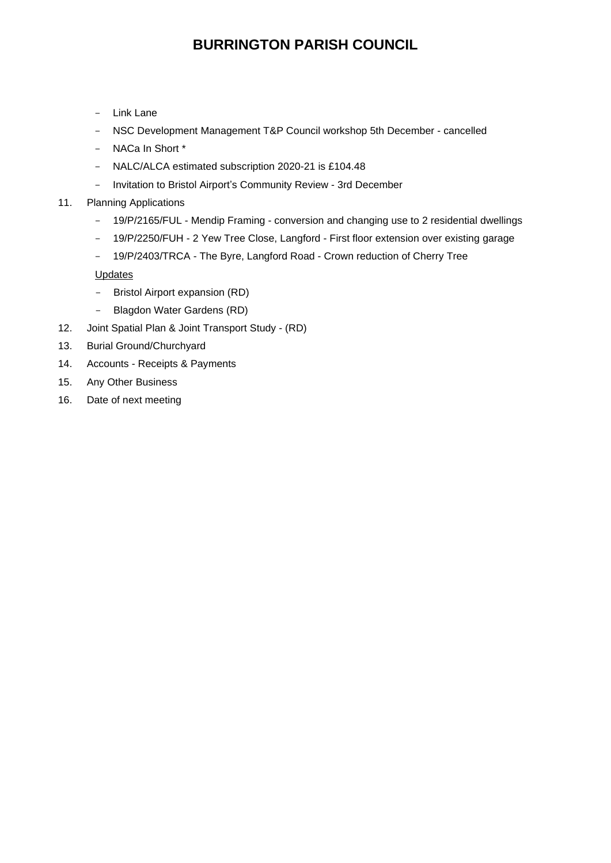## **BURRINGTON PARISH COUNCIL**

- Link Lane
- NSC Development Management T&P Council workshop 5th December cancelled
- NACa In Short \*
- NALC/ALCA estimated subscription 2020-21 is £104.48
- Invitation to Bristol Airport's Community Review 3rd December
- 11. Planning Applications
	- 19/P/2165/FUL Mendip Framing conversion and changing use to 2 residential dwellings
	- 19/P/2250/FUH 2 Yew Tree Close, Langford First floor extension over existing garage
	- 19/P/2403/TRCA The Byre, Langford Road Crown reduction of Cherry Tree

**Updates** 

- Bristol Airport expansion (RD)
- Blagdon Water Gardens (RD)
- 12. Joint Spatial Plan & Joint Transport Study (RD)
- 13. Burial Ground/Churchyard
- 14. Accounts Receipts & Payments
- 15. Any Other Business
- 16. Date of next meeting